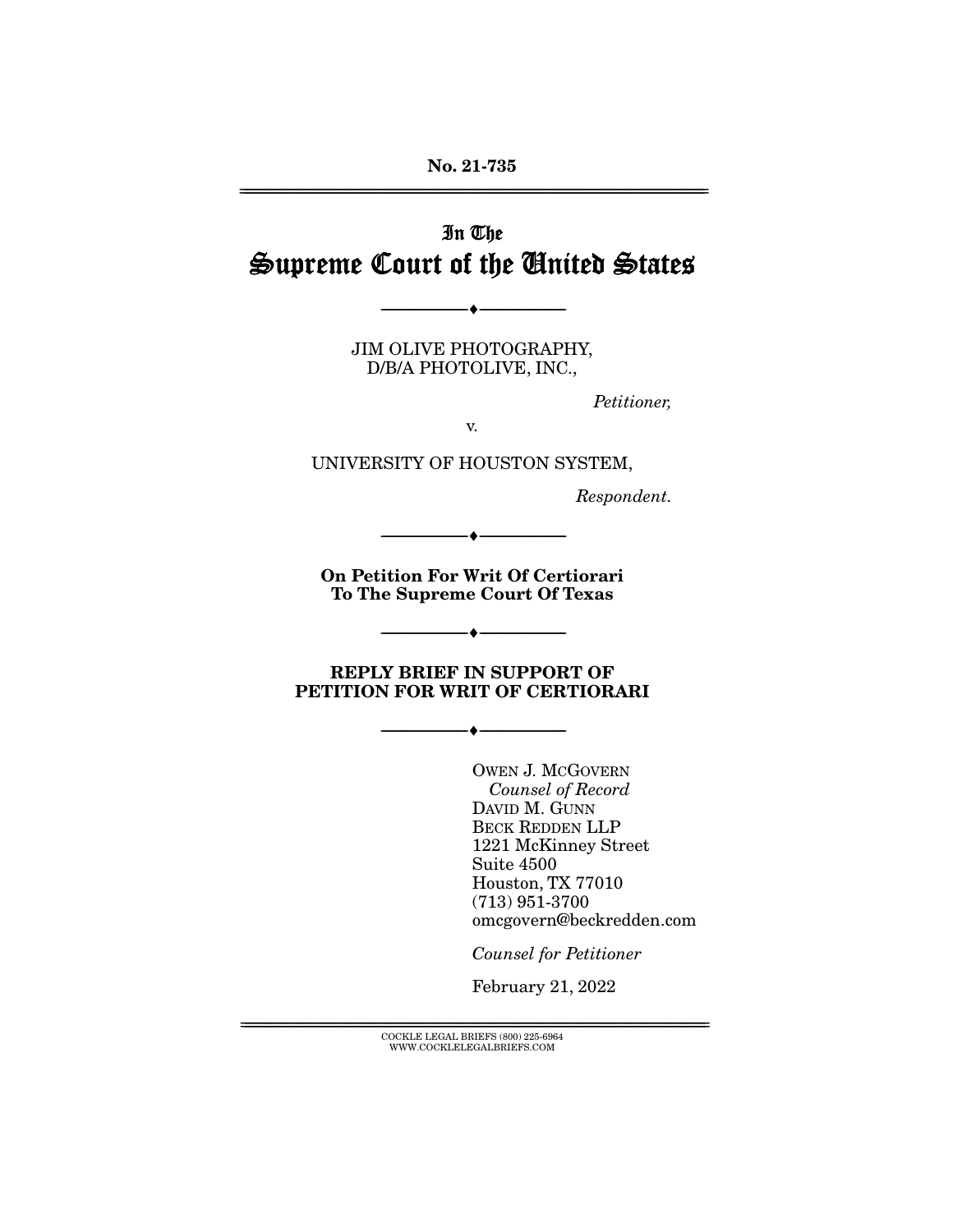# In The Supreme Court of the United States

JIM OLIVE PHOTOGRAPHY, D/B/A PHOTOLIVE, INC.,

--------------------------------- ♦ ---------------------------------

Petitioner,

v.

UNIVERSITY OF HOUSTON SYSTEM,

Respondent.

**On Petition For Writ Of Certiorari To The Supreme Court Of Texas** 

--------------------------------- ♦ ---------------------------------

 $\begin{array}{c} \bullet \end{array}$ 

**REPLY BRIEF IN SUPPORT OF PETITION FOR WRIT OF CERTIORARI** 

--------------------------------- ♦ ---------------------------------

OWEN J. MCGOVERN Counsel of Record DAVID M. GUNN BECK REDDEN LLP 1221 McKinney Street Suite 4500 Houston, TX 77010 (713) 951-3700 omcgovern@beckredden.com

Counsel for Petitioner

February 21, 2022

 ${COCKLE}$  LEGAL BRIEFS (800) 225-6964 WWW.COCKLELEGALBRIEFS.COM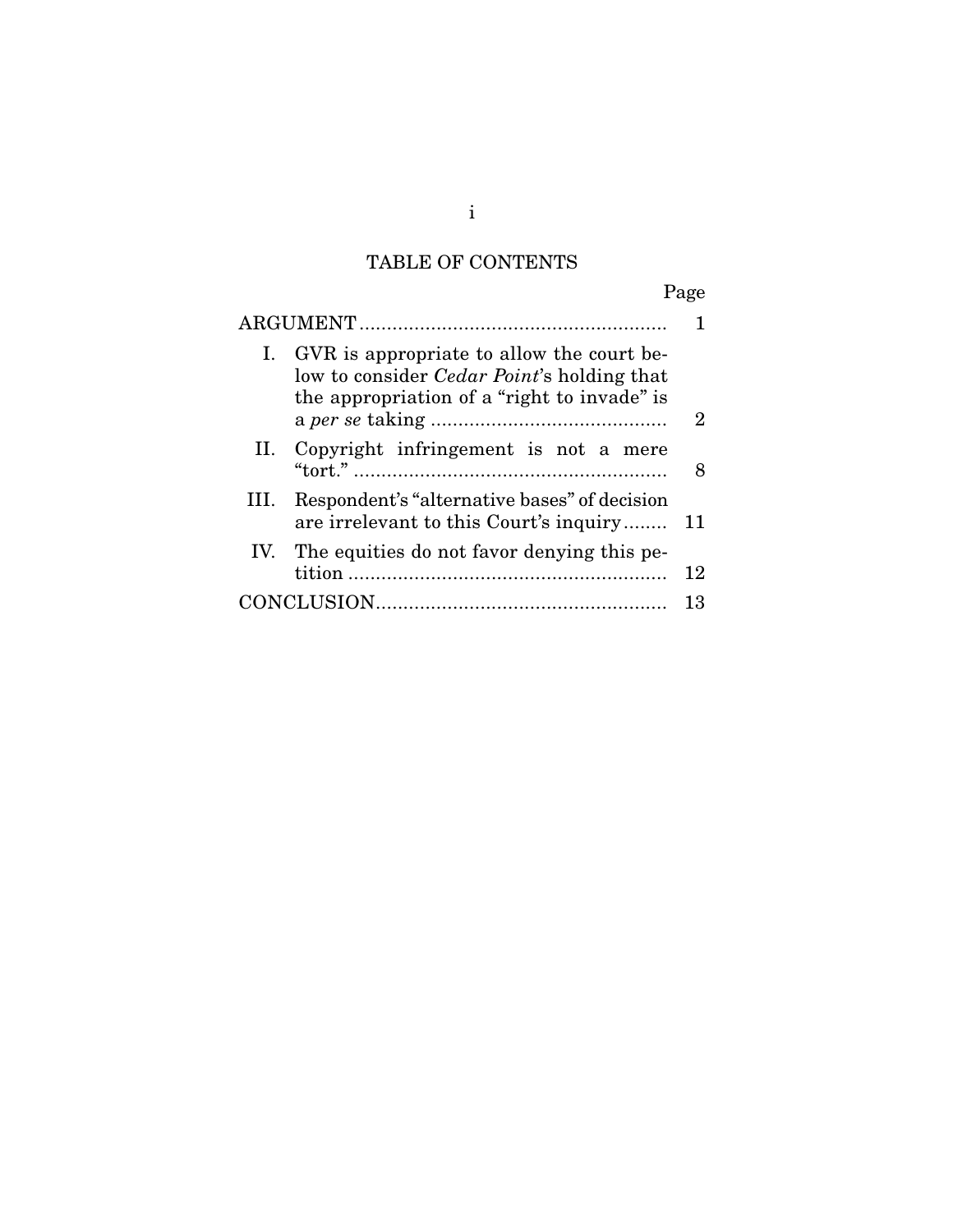# TABLE OF CONTENTS

Page

| I. GVR is appropriate to allow the court be-<br>low to consider <i>Cedar Point's</i> holding that<br>the appropriation of a "right to invade" is | 2  |
|--------------------------------------------------------------------------------------------------------------------------------------------------|----|
| II. Copyright infringement is not a mere                                                                                                         |    |
| Respondent's "alternative bases" of decision<br>III.<br>are irrelevant to this Court's inquiry                                                   | 11 |
| IV. The equities do not favor denying this pe-                                                                                                   | 12 |
|                                                                                                                                                  | 13 |

i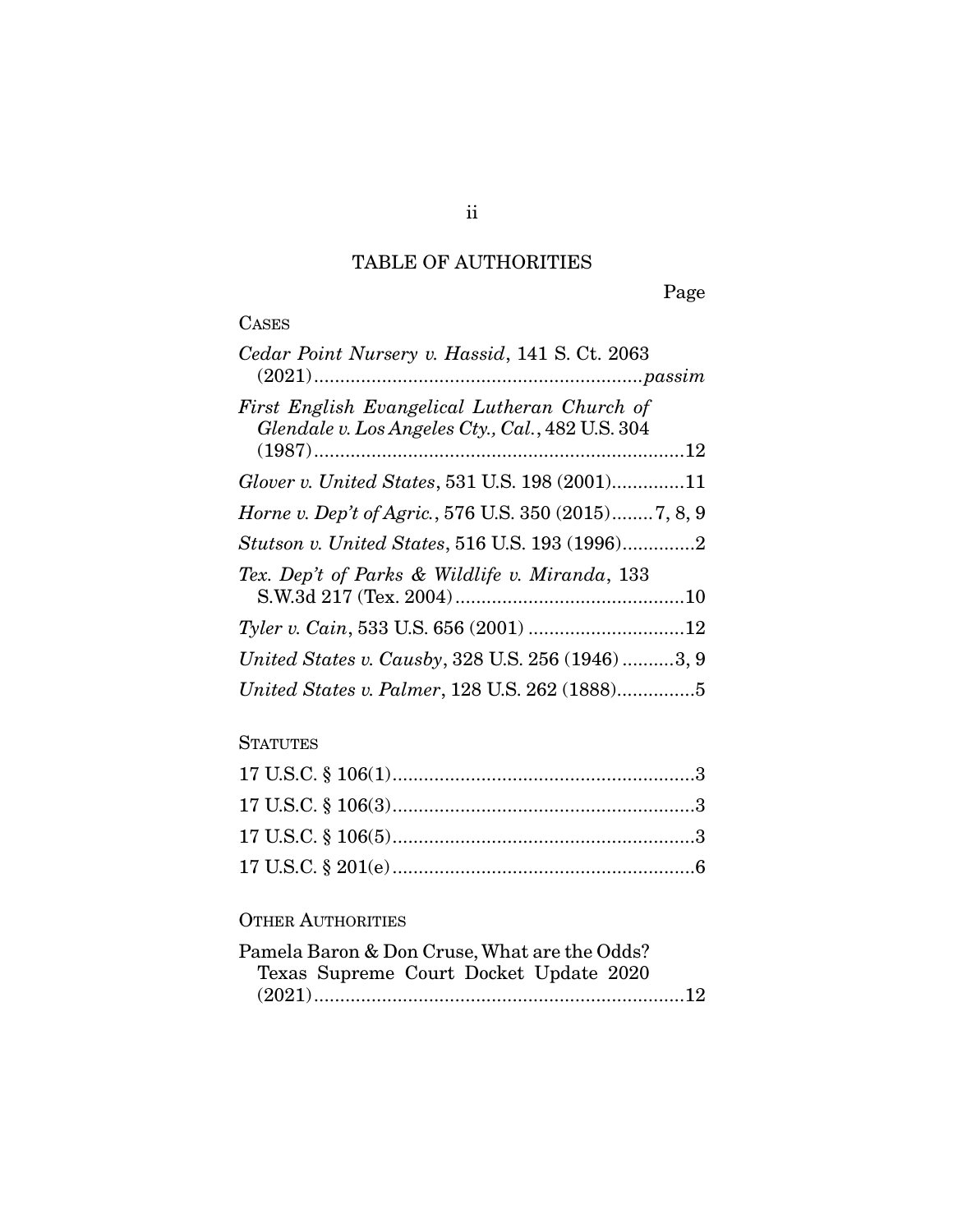## TABLE OF AUTHORITIES

Page

## CASES

| Cedar Point Nursery v. Hassid, 141 S. Ct. 2063                                                   |
|--------------------------------------------------------------------------------------------------|
| First English Evangelical Lutheran Church of<br>Glendale v. Los Angeles Cty., Cal., 482 U.S. 304 |
| Glover v. United States, 531 U.S. 198 (2001)11                                                   |
| <i>Horne v. Dep't of Agric.</i> , 576 U.S. 350 (2015)7, 8, 9                                     |
| Stutson v. United States, 516 U.S. 193 (1996)2                                                   |
| Tex. Dep't of Parks & Wildlife v. Miranda, 133                                                   |
|                                                                                                  |
| United States v. Causby, 328 U.S. 256 (1946) 3, 9                                                |
| United States v. Palmer, 128 U.S. 262 (1888)5                                                    |

## **STATUTES**

## OTHER AUTHORITIES

| Pamela Baron & Don Cruse, What are the Odds? |  |
|----------------------------------------------|--|
| Texas Supreme Court Docket Update 2020       |  |
|                                              |  |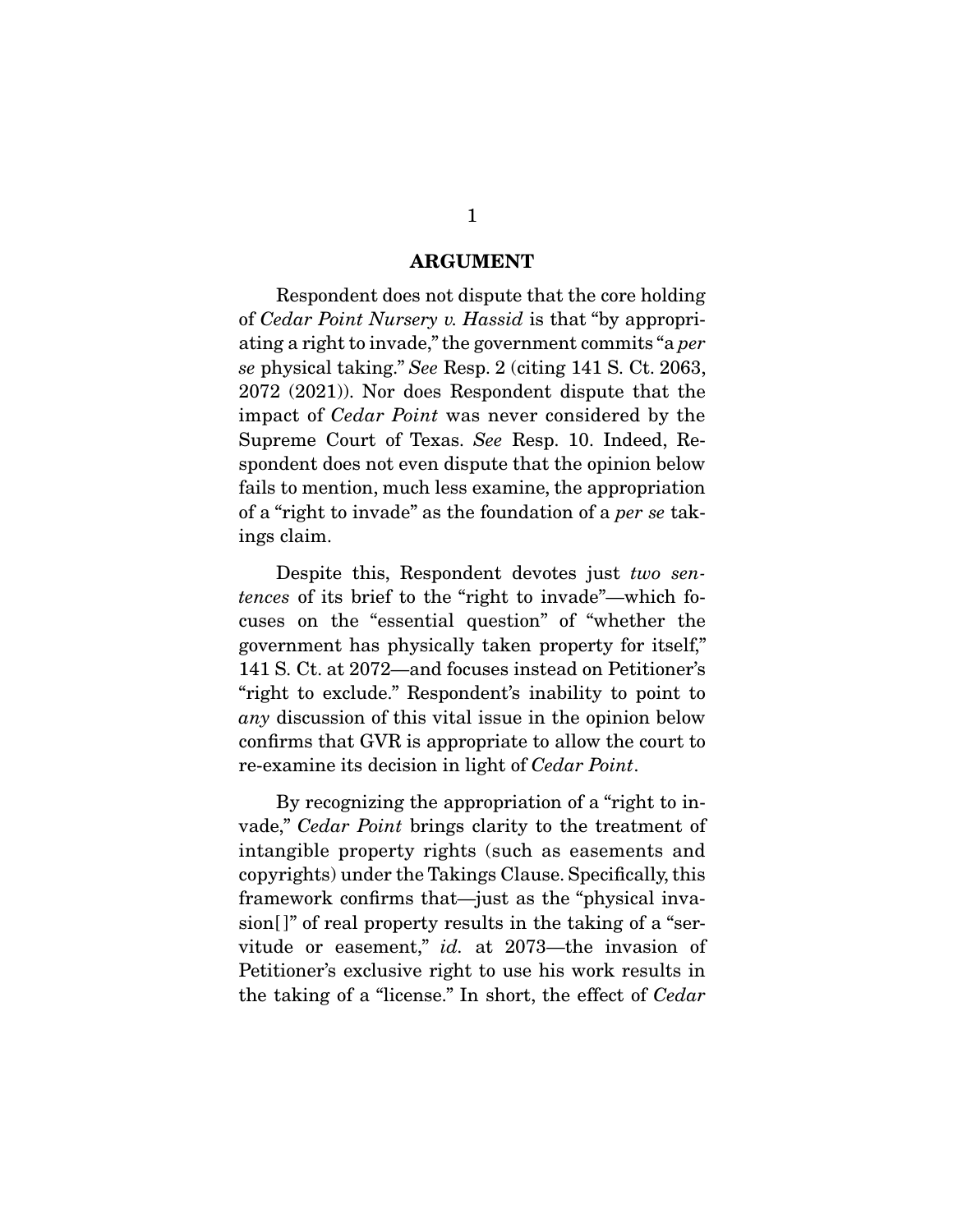#### **ARGUMENT**

 Respondent does not dispute that the core holding of Cedar Point Nursery v. Hassid is that "by appropriating a right to invade," the government commits "a per se physical taking." See Resp. 2 (citing 141 S. Ct. 2063, 2072 (2021)). Nor does Respondent dispute that the impact of Cedar Point was never considered by the Supreme Court of Texas. See Resp. 10. Indeed, Respondent does not even dispute that the opinion below fails to mention, much less examine, the appropriation of a "right to invade" as the foundation of a per se takings claim.

 Despite this, Respondent devotes just two sentences of its brief to the "right to invade"—which focuses on the "essential question" of "whether the government has physically taken property for itself," 141 S. Ct. at 2072—and focuses instead on Petitioner's "right to exclude." Respondent's inability to point to any discussion of this vital issue in the opinion below confirms that GVR is appropriate to allow the court to re-examine its decision in light of Cedar Point.

 By recognizing the appropriation of a "right to invade," Cedar Point brings clarity to the treatment of intangible property rights (such as easements and copyrights) under the Takings Clause. Specifically, this framework confirms that—just as the "physical invasion<sup>[]"</sup> of real property results in the taking of a "servitude or easement," id. at 2073—the invasion of Petitioner's exclusive right to use his work results in the taking of a "license." In short, the effect of Cedar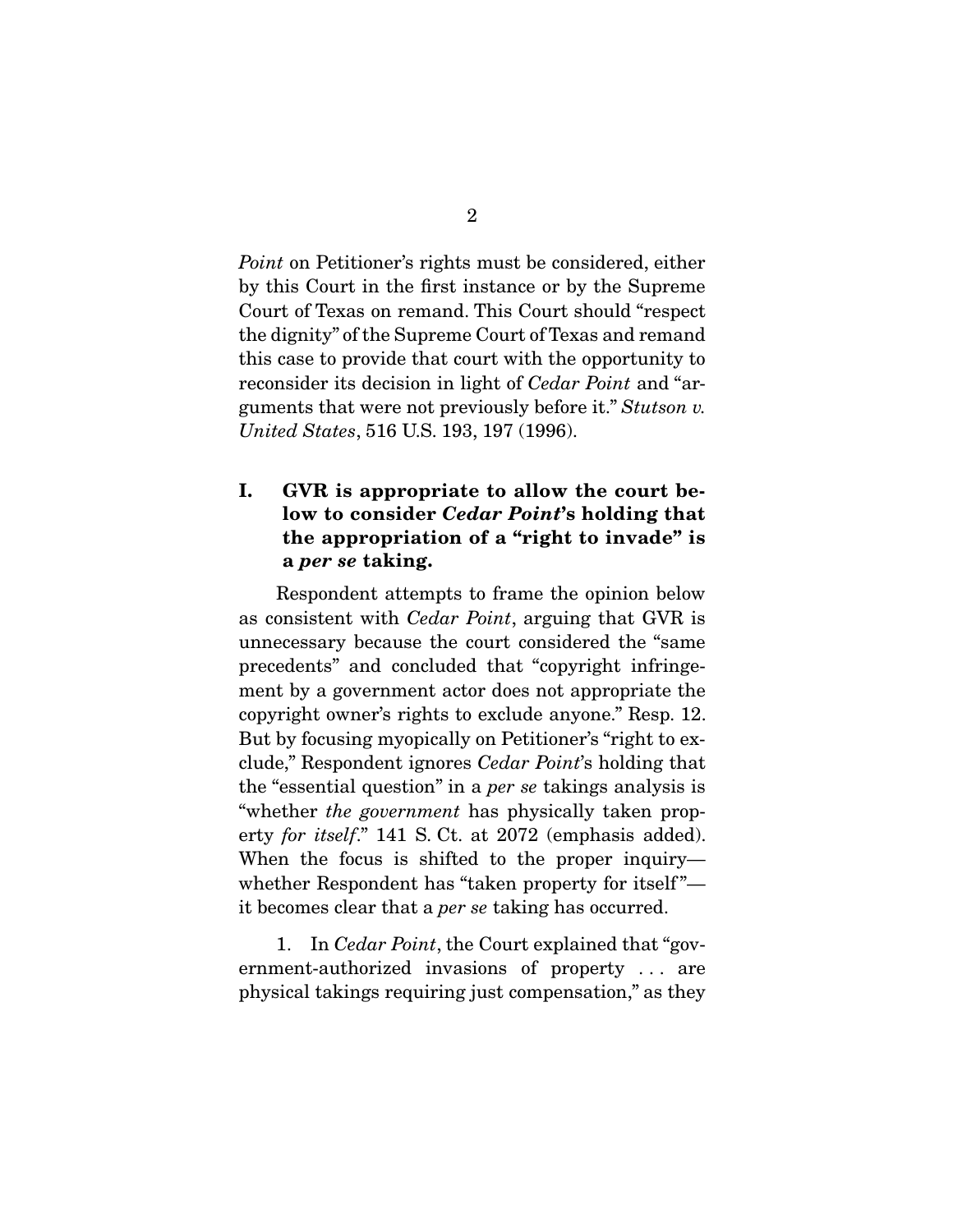Point on Petitioner's rights must be considered, either by this Court in the first instance or by the Supreme Court of Texas on remand. This Court should "respect the dignity" of the Supreme Court of Texas and remand this case to provide that court with the opportunity to reconsider its decision in light of Cedar Point and "arguments that were not previously before it." Stutson v. United States, 516 U.S. 193, 197 (1996).

## **I. GVR is appropriate to allow the court below to consider** *Cedar Point***'s holding that the appropriation of a "right to invade" is a** *per se* **taking.**

 Respondent attempts to frame the opinion below as consistent with Cedar Point, arguing that GVR is unnecessary because the court considered the "same precedents" and concluded that "copyright infringement by a government actor does not appropriate the copyright owner's rights to exclude anyone." Resp. 12. But by focusing myopically on Petitioner's "right to exclude," Respondent ignores Cedar Point's holding that the "essential question" in a per se takings analysis is "whether the government has physically taken property for itself." 141 S. Ct. at 2072 (emphasis added). When the focus is shifted to the proper inquiry whether Respondent has "taken property for itself" it becomes clear that a per se taking has occurred.

 1. In Cedar Point, the Court explained that "government-authorized invasions of property . . . are physical takings requiring just compensation," as they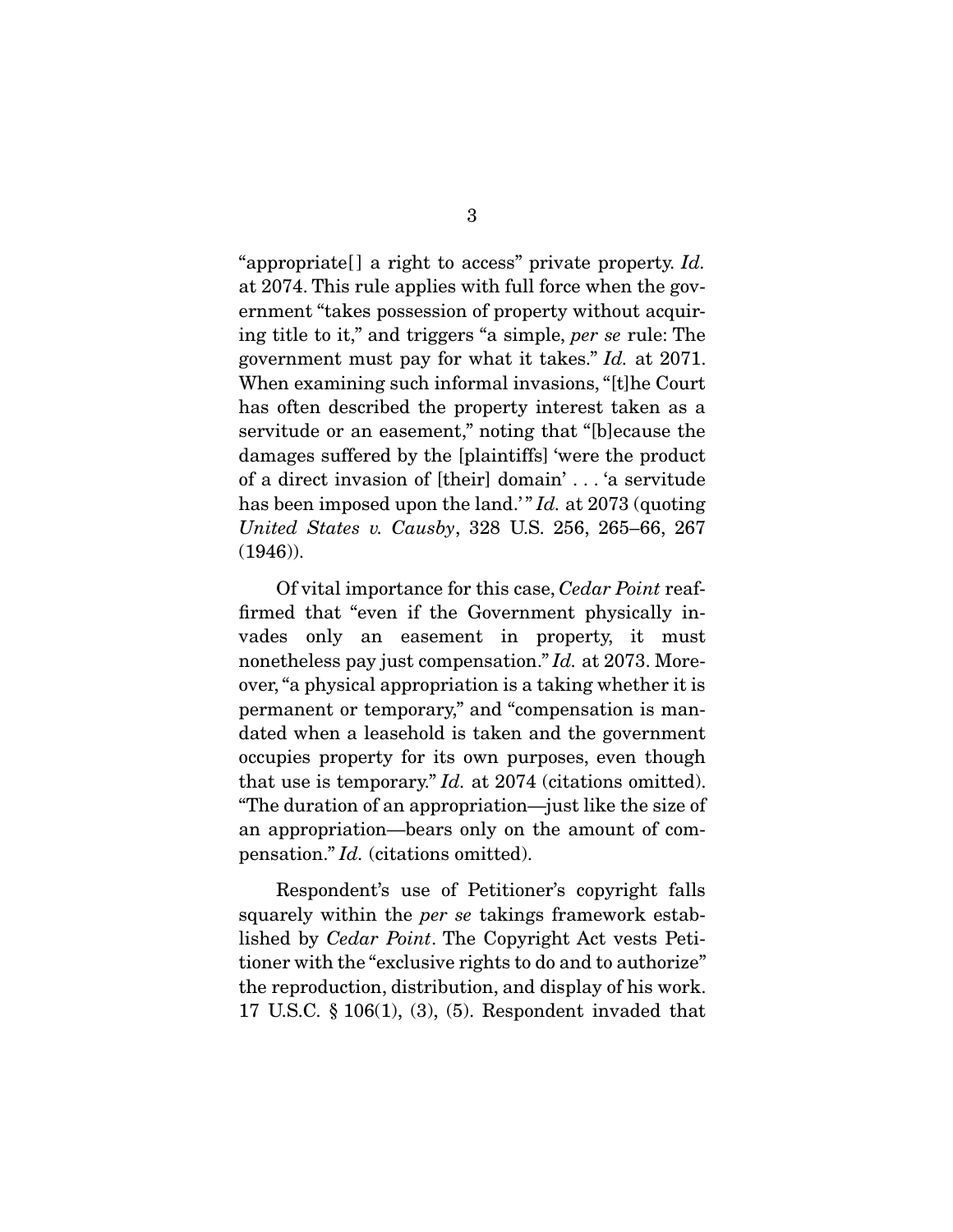"appropriate [] a right to access" private property. Id. at 2074. This rule applies with full force when the government "takes possession of property without acquiring title to it," and triggers "a simple, per se rule: The government must pay for what it takes." Id. at 2071. When examining such informal invasions, "[t]he Court has often described the property interest taken as a servitude or an easement," noting that "[b]ecause the damages suffered by the [plaintiffs] 'were the product of a direct invasion of [their] domain' . . . 'a servitude has been imposed upon the land." Id. at 2073 (quoting United States v. Causby, 328 U.S. 256, 265–66, 267 (1946)).

 Of vital importance for this case, Cedar Point reaffirmed that "even if the Government physically invades only an easement in property, it must nonetheless pay just compensation." Id. at 2073. Moreover, "a physical appropriation is a taking whether it is permanent or temporary," and "compensation is mandated when a leasehold is taken and the government occupies property for its own purposes, even though that use is temporary." Id. at 2074 (citations omitted). "The duration of an appropriation—just like the size of an appropriation—bears only on the amount of compensation." Id. (citations omitted).

 Respondent's use of Petitioner's copyright falls squarely within the per se takings framework established by Cedar Point. The Copyright Act vests Petitioner with the "exclusive rights to do and to authorize" the reproduction, distribution, and display of his work. 17 U.S.C. § 106(1), (3), (5). Respondent invaded that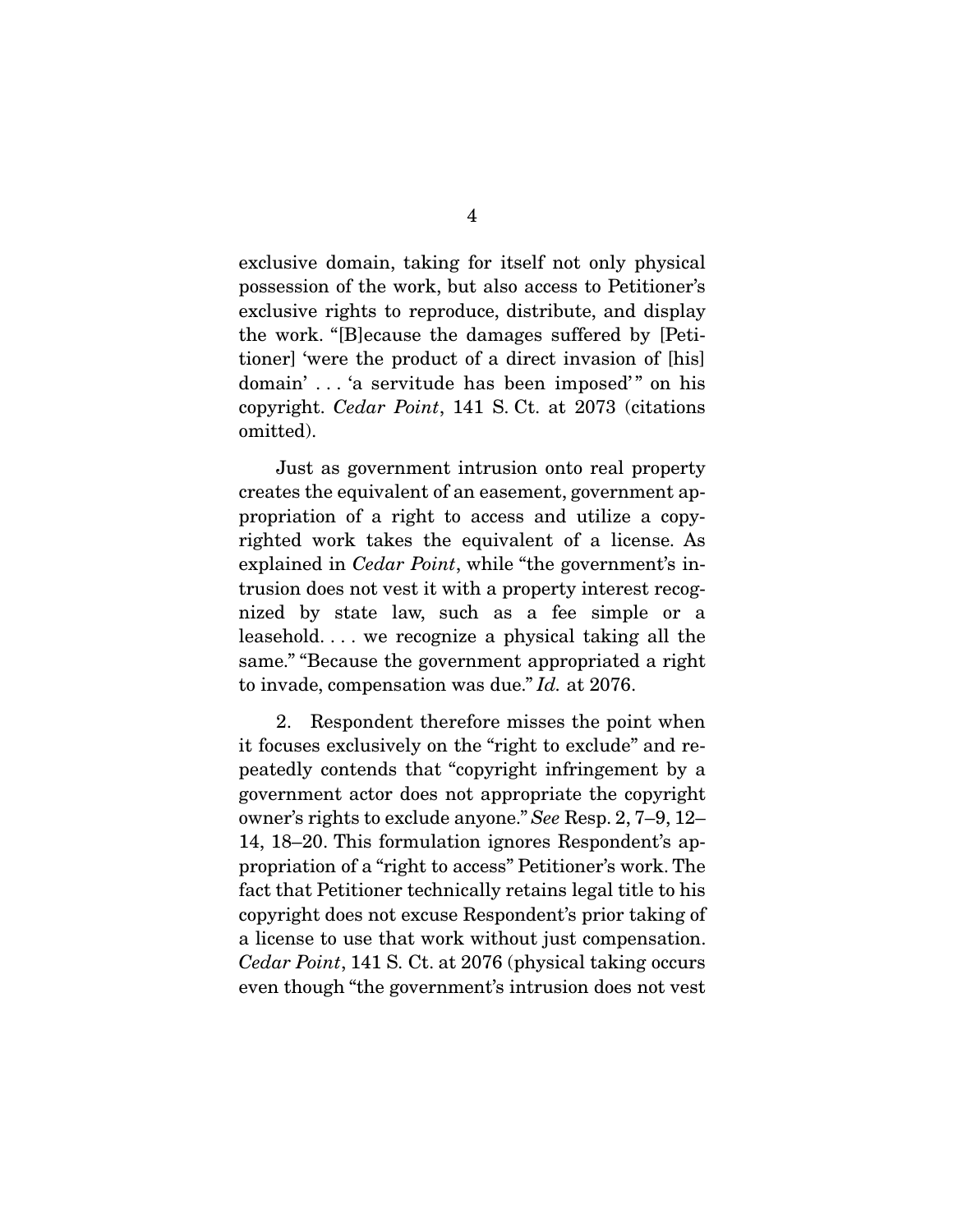exclusive domain, taking for itself not only physical possession of the work, but also access to Petitioner's exclusive rights to reproduce, distribute, and display the work. "[B]ecause the damages suffered by [Petitioner] 'were the product of a direct invasion of [his] domain' ... 'a servitude has been imposed'" on his copyright. Cedar Point, 141 S. Ct. at 2073 (citations omitted).

 Just as government intrusion onto real property creates the equivalent of an easement, government appropriation of a right to access and utilize a copyrighted work takes the equivalent of a license. As explained in Cedar Point, while "the government's intrusion does not vest it with a property interest recognized by state law, such as a fee simple or a leasehold. . . . we recognize a physical taking all the same." "Because the government appropriated a right to invade, compensation was due." Id. at 2076.

 2. Respondent therefore misses the point when it focuses exclusively on the "right to exclude" and repeatedly contends that "copyright infringement by a government actor does not appropriate the copyright owner's rights to exclude anyone." See Resp. 2, 7–9, 12– 14, 18–20. This formulation ignores Respondent's appropriation of a "right to access" Petitioner's work. The fact that Petitioner technically retains legal title to his copyright does not excuse Respondent's prior taking of a license to use that work without just compensation. Cedar Point, 141 S. Ct. at 2076 (physical taking occurs even though "the government's intrusion does not vest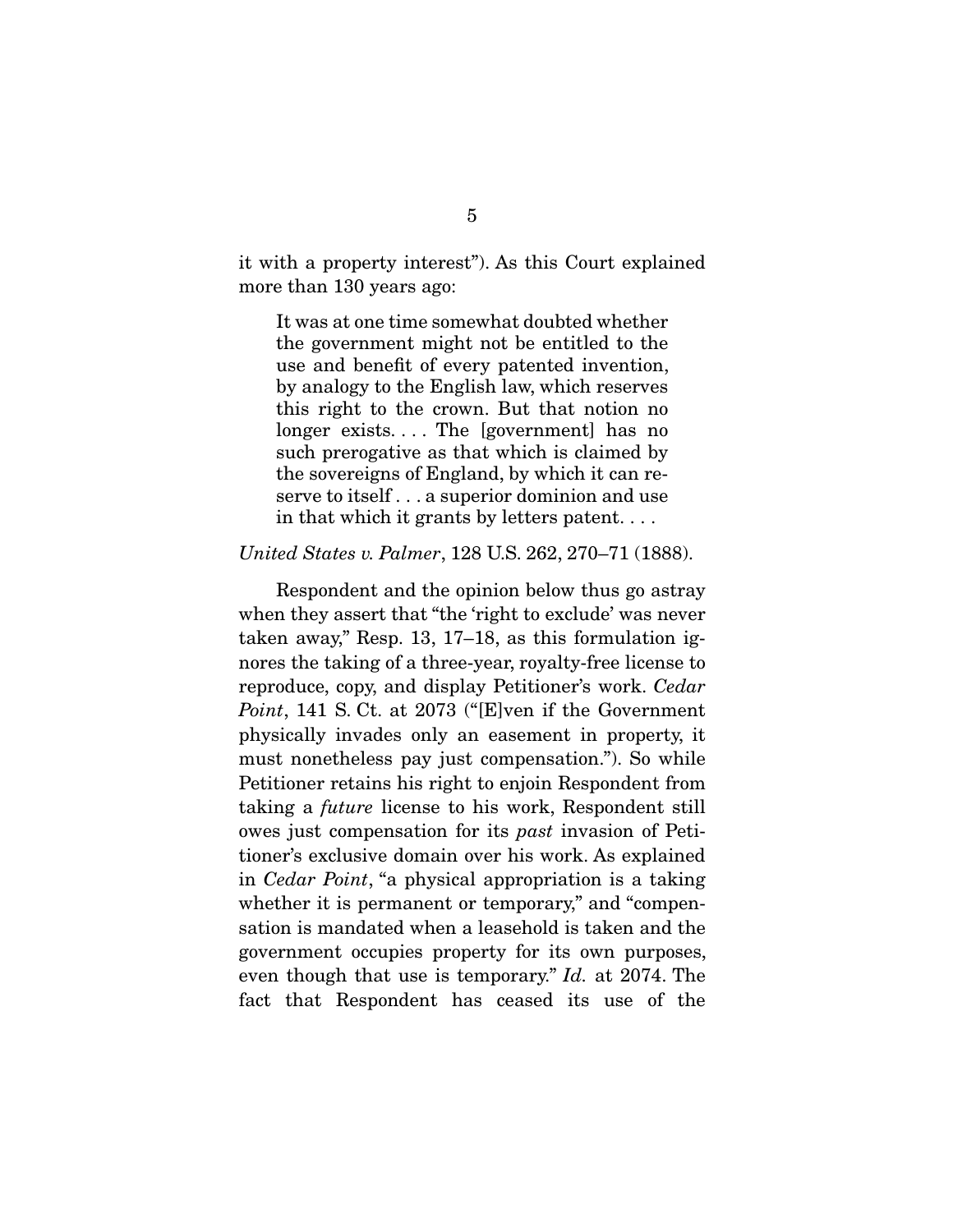it with a property interest"). As this Court explained more than 130 years ago:

It was at one time somewhat doubted whether the government might not be entitled to the use and benefit of every patented invention, by analogy to the English law, which reserves this right to the crown. But that notion no longer exists.... The [government] has no such prerogative as that which is claimed by the sovereigns of England, by which it can reserve to itself . . . a superior dominion and use in that which it grants by letters patent. . . .

#### United States v. Palmer, 128 U.S. 262, 270–71 (1888).

 Respondent and the opinion below thus go astray when they assert that "the 'right to exclude' was never taken away," Resp. 13, 17–18, as this formulation ignores the taking of a three-year, royalty-free license to reproduce, copy, and display Petitioner's work. Cedar Point, 141 S. Ct. at 2073 ("[E]ven if the Government physically invades only an easement in property, it must nonetheless pay just compensation."). So while Petitioner retains his right to enjoin Respondent from taking a future license to his work, Respondent still owes just compensation for its past invasion of Petitioner's exclusive domain over his work. As explained in Cedar Point, "a physical appropriation is a taking whether it is permanent or temporary," and "compensation is mandated when a leasehold is taken and the government occupies property for its own purposes, even though that use is temporary." Id. at 2074. The fact that Respondent has ceased its use of the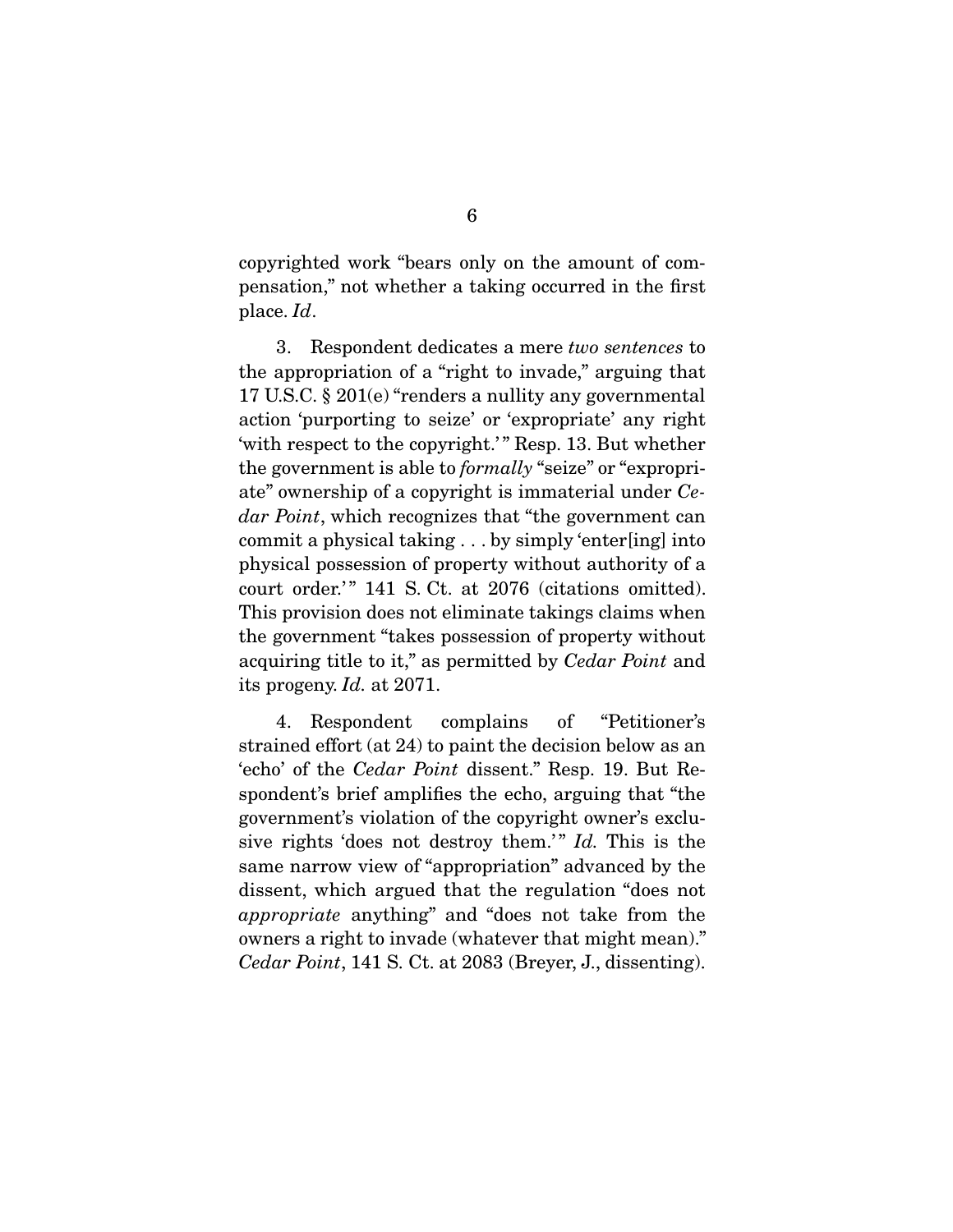copyrighted work "bears only on the amount of compensation," not whether a taking occurred in the first place. Id.

 3. Respondent dedicates a mere two sentences to the appropriation of a "right to invade," arguing that 17 U.S.C. § 201(e) "renders a nullity any governmental action 'purporting to seize' or 'expropriate' any right 'with respect to the copyright.'" Resp. 13. But whether the government is able to formally "seize" or "expropriate" ownership of a copyright is immaterial under Cedar Point, which recognizes that "the government can commit a physical taking . . . by simply 'enter[ing] into physical possession of property without authority of a court order.'" 141 S. Ct. at 2076 (citations omitted). This provision does not eliminate takings claims when the government "takes possession of property without acquiring title to it," as permitted by Cedar Point and its progeny. Id. at 2071.

 4. Respondent complains of "Petitioner's strained effort (at 24) to paint the decision below as an 'echo' of the Cedar Point dissent." Resp. 19. But Respondent's brief amplifies the echo, arguing that "the government's violation of the copyright owner's exclusive rights 'does not destroy them.'"  $Id$ . This is the same narrow view of "appropriation" advanced by the dissent, which argued that the regulation "does not appropriate anything" and "does not take from the owners a right to invade (whatever that might mean)." Cedar Point, 141 S. Ct. at 2083 (Breyer, J., dissenting).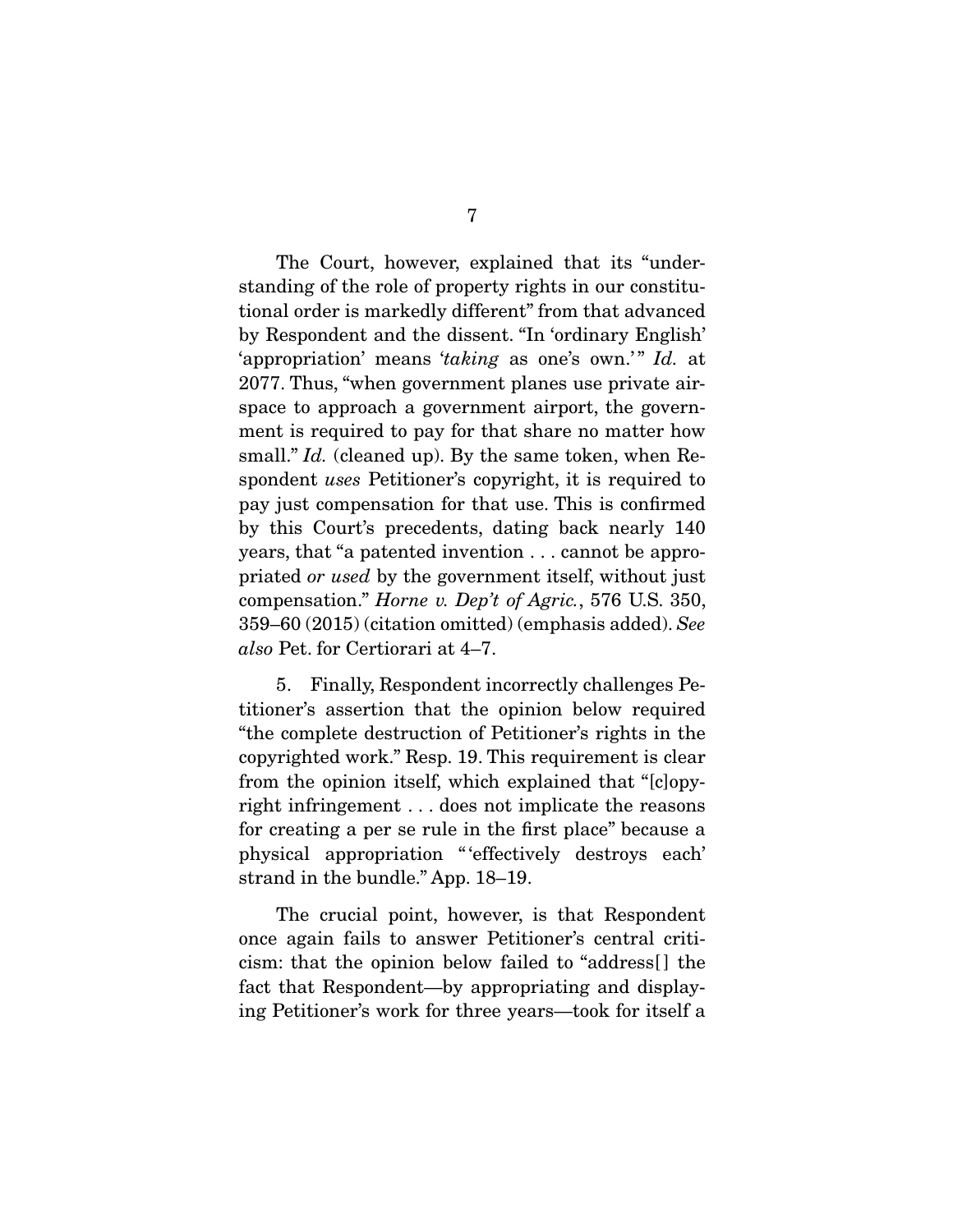The Court, however, explained that its "understanding of the role of property rights in our constitutional order is markedly different" from that advanced by Respondent and the dissent. "In 'ordinary English' 'appropriation' means 'taking as one's own.'" Id. at 2077. Thus, "when government planes use private airspace to approach a government airport, the government is required to pay for that share no matter how small." *Id.* (cleaned up). By the same token, when Respondent uses Petitioner's copyright, it is required to pay just compensation for that use. This is confirmed by this Court's precedents, dating back nearly 140 years, that "a patented invention . . . cannot be appropriated or used by the government itself, without just compensation." Horne v. Dep't of Agric., 576 U.S. 350, 359–60 (2015) (citation omitted) (emphasis added). See also Pet. for Certiorari at 4–7.

 5. Finally, Respondent incorrectly challenges Petitioner's assertion that the opinion below required "the complete destruction of Petitioner's rights in the copyrighted work." Resp. 19. This requirement is clear from the opinion itself, which explained that "[c]opyright infringement . . . does not implicate the reasons for creating a per se rule in the first place" because a physical appropriation " 'effectively destroys each' strand in the bundle." App. 18–19.

 The crucial point, however, is that Respondent once again fails to answer Petitioner's central criticism: that the opinion below failed to "address[ ] the fact that Respondent—by appropriating and displaying Petitioner's work for three years—took for itself a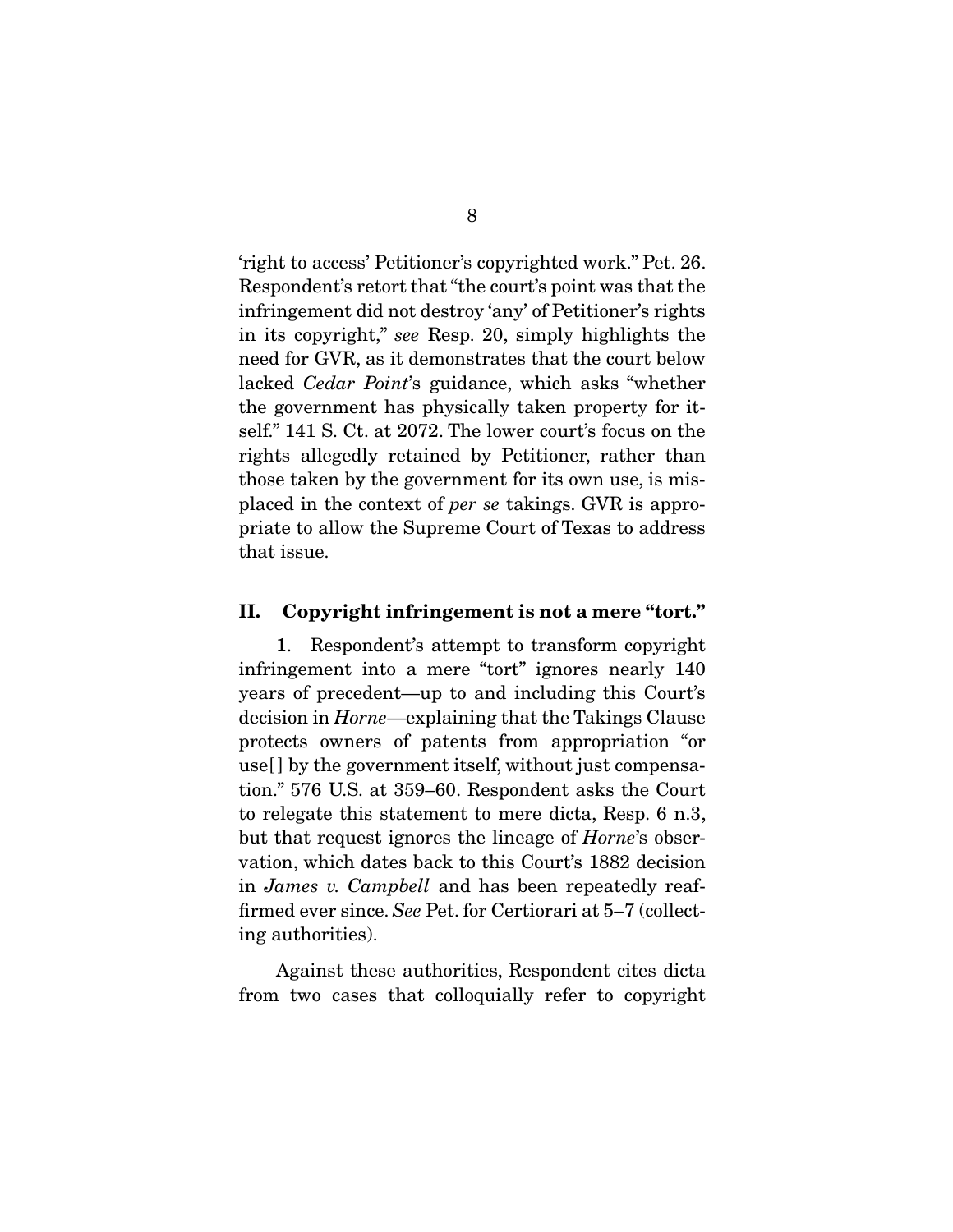'right to access' Petitioner's copyrighted work." Pet. 26. Respondent's retort that "the court's point was that the infringement did not destroy 'any' of Petitioner's rights in its copyright," see Resp. 20, simply highlights the need for GVR, as it demonstrates that the court below lacked *Cedar Point's* guidance, which asks "whether the government has physically taken property for itself." 141 S. Ct. at 2072. The lower court's focus on the rights allegedly retained by Petitioner, rather than those taken by the government for its own use, is misplaced in the context of per se takings. GVR is appropriate to allow the Supreme Court of Texas to address that issue.

#### **II. Copyright infringement is not a mere "tort."**

 1. Respondent's attempt to transform copyright infringement into a mere "tort" ignores nearly 140 years of precedent—up to and including this Court's decision in Horne—explaining that the Takings Clause protects owners of patents from appropriation "or use[ ] by the government itself, without just compensation." 576 U.S. at 359–60. Respondent asks the Court to relegate this statement to mere dicta, Resp. 6 n.3, but that request ignores the lineage of Horne's observation, which dates back to this Court's 1882 decision in James v. Campbell and has been repeatedly reaffirmed ever since. See Pet. for Certiorari at 5–7 (collecting authorities).

 Against these authorities, Respondent cites dicta from two cases that colloquially refer to copyright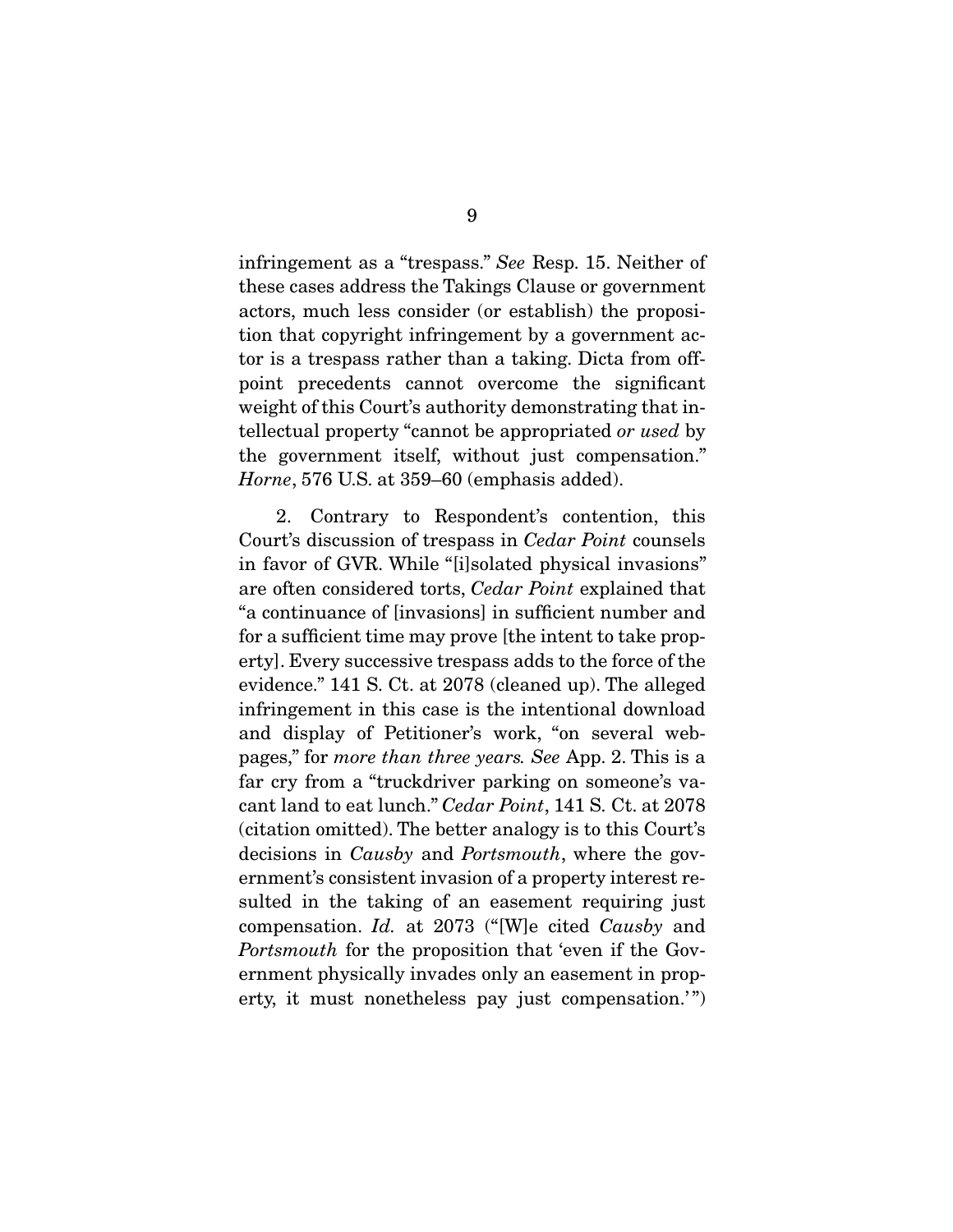infringement as a "trespass." See Resp. 15. Neither of these cases address the Takings Clause or government actors, much less consider (or establish) the proposition that copyright infringement by a government actor is a trespass rather than a taking. Dicta from offpoint precedents cannot overcome the significant weight of this Court's authority demonstrating that intellectual property "cannot be appropriated or used by the government itself, without just compensation." Horne, 576 U.S. at 359–60 (emphasis added).

 2. Contrary to Respondent's contention, this Court's discussion of trespass in Cedar Point counsels in favor of GVR. While "[i]solated physical invasions" are often considered torts, Cedar Point explained that "a continuance of [invasions] in sufficient number and for a sufficient time may prove [the intent to take property]. Every successive trespass adds to the force of the evidence." 141 S. Ct. at 2078 (cleaned up). The alleged infringement in this case is the intentional download and display of Petitioner's work, "on several webpages," for more than three years. See App. 2. This is a far cry from a "truckdriver parking on someone's vacant land to eat lunch." Cedar Point, 141 S. Ct. at 2078 (citation omitted). The better analogy is to this Court's decisions in Causby and Portsmouth, where the government's consistent invasion of a property interest resulted in the taking of an easement requiring just compensation. Id. at 2073 ("[W]e cited Causby and Portsmouth for the proposition that 'even if the Government physically invades only an easement in property, it must nonetheless pay just compensation."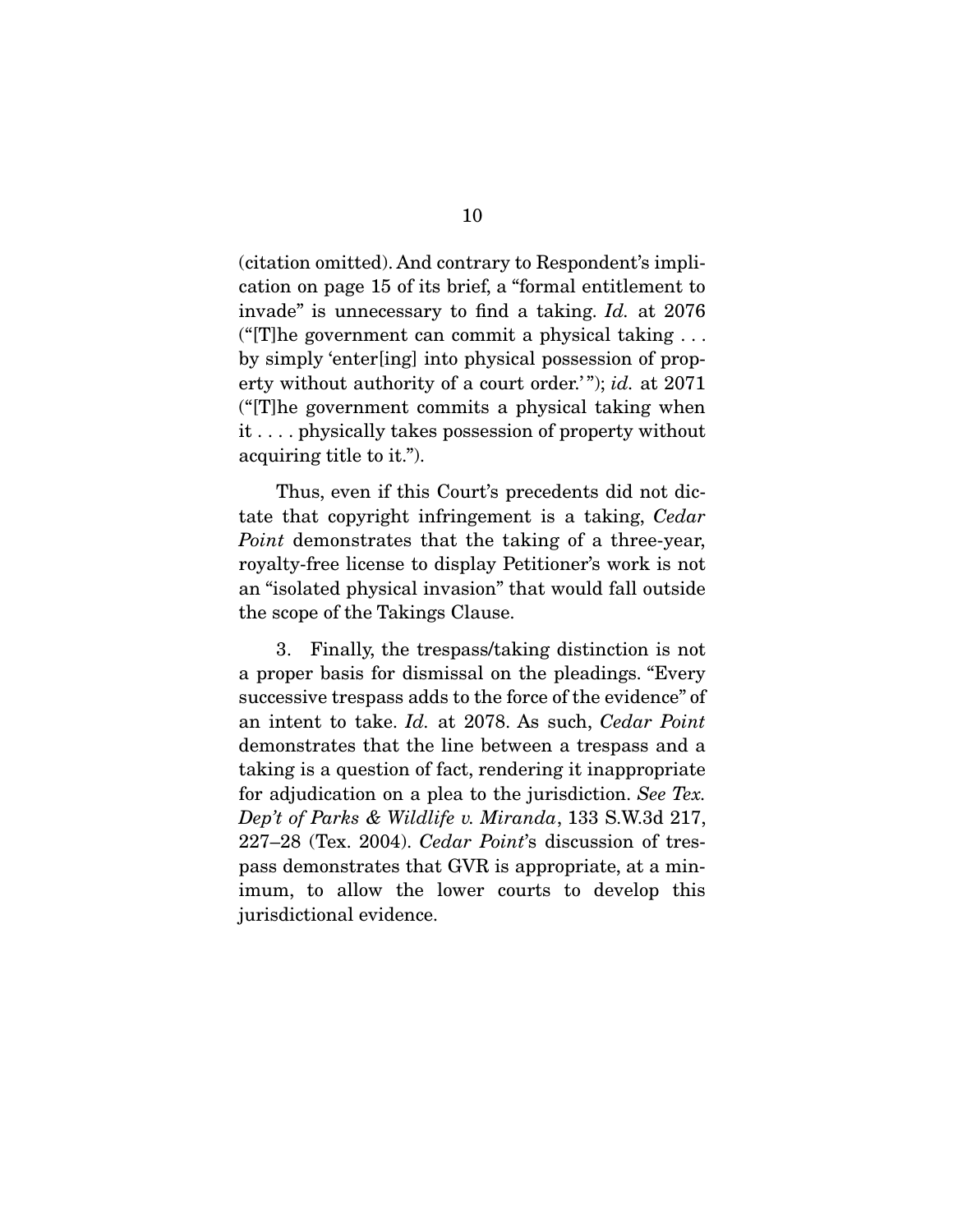(citation omitted). And contrary to Respondent's implication on page 15 of its brief, a "formal entitlement to invade" is unnecessary to find a taking. Id. at 2076 ("[T]he government can commit a physical taking  $\dots$ by simply 'enter[ing] into physical possession of property without authority of a court order.'"); id. at 2071 ("[T]he government commits a physical taking when it . . . . physically takes possession of property without acquiring title to it.").

 Thus, even if this Court's precedents did not dictate that copyright infringement is a taking, Cedar Point demonstrates that the taking of a three-year, royalty-free license to display Petitioner's work is not an "isolated physical invasion" that would fall outside the scope of the Takings Clause.

 3. Finally, the trespass/taking distinction is not a proper basis for dismissal on the pleadings. "Every successive trespass adds to the force of the evidence" of an intent to take. Id. at 2078. As such, Cedar Point demonstrates that the line between a trespass and a taking is a question of fact, rendering it inappropriate for adjudication on a plea to the jurisdiction. See Tex. Dep't of Parks & Wildlife v. Miranda, 133 S.W.3d 217, 227–28 (Tex. 2004). Cedar Point's discussion of trespass demonstrates that GVR is appropriate, at a minimum, to allow the lower courts to develop this jurisdictional evidence.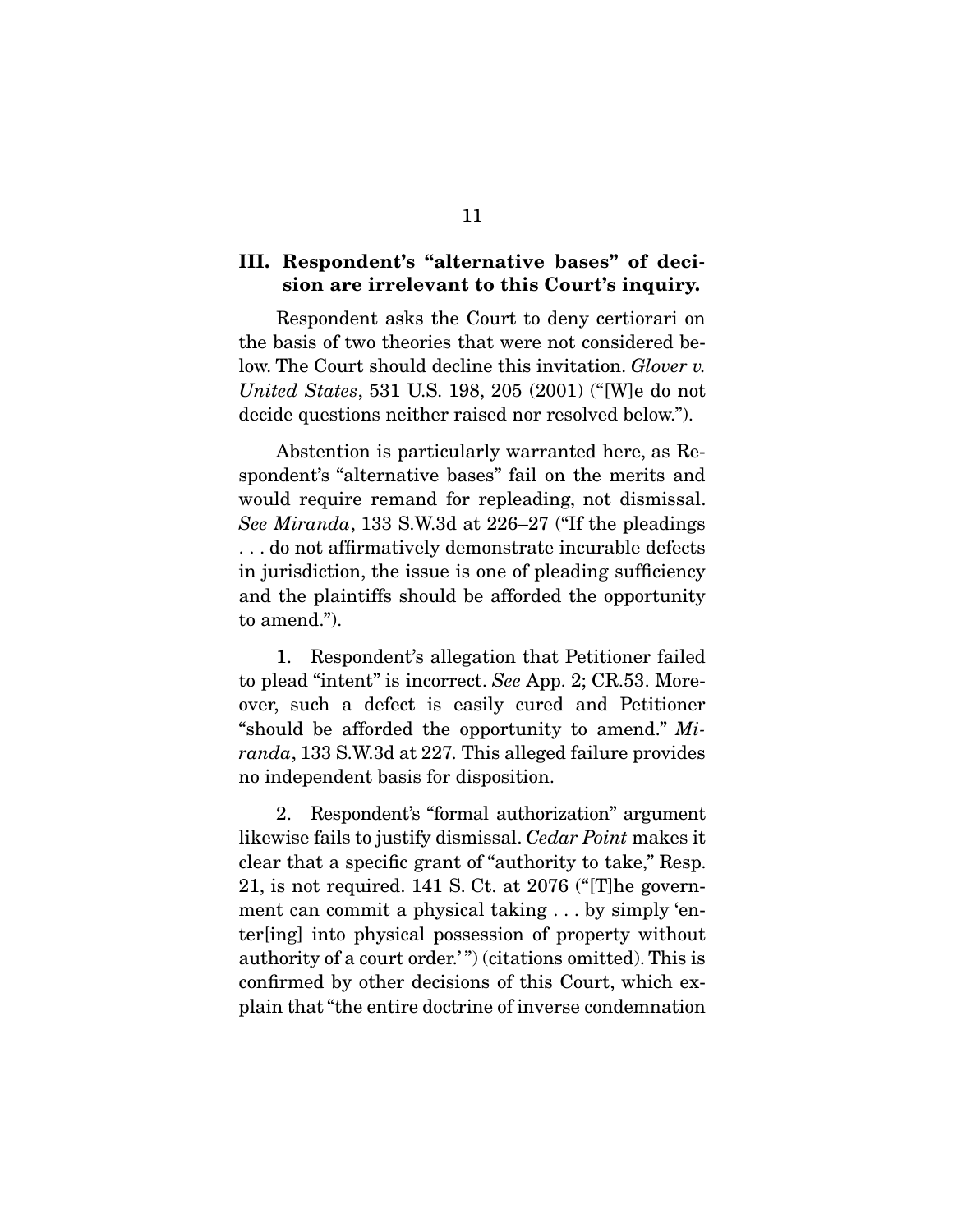## **III. Respondent's "alternative bases" of decision are irrelevant to this Court's inquiry.**

 Respondent asks the Court to deny certiorari on the basis of two theories that were not considered below. The Court should decline this invitation. Glover v. United States, 531 U.S. 198, 205 (2001) ("[W]e do not decide questions neither raised nor resolved below.").

 Abstention is particularly warranted here, as Respondent's "alternative bases" fail on the merits and would require remand for repleading, not dismissal. See Miranda, 133 S.W.3d at 226–27 ("If the pleadings . . . do not affirmatively demonstrate incurable defects in jurisdiction, the issue is one of pleading sufficiency and the plaintiffs should be afforded the opportunity to amend.").

 1. Respondent's allegation that Petitioner failed to plead "intent" is incorrect. See App. 2; CR.53. Moreover, such a defect is easily cured and Petitioner "should be afforded the opportunity to amend."  $Mi$ randa, 133 S.W.3d at 227. This alleged failure provides no independent basis for disposition.

 2. Respondent's "formal authorization" argument likewise fails to justify dismissal. Cedar Point makes it clear that a specific grant of "authority to take," Resp. 21, is not required. 141 S. Ct. at 2076 ("[T]he government can commit a physical taking . . . by simply 'enter[ing] into physical possession of property without authority of a court order.") (citations omitted). This is confirmed by other decisions of this Court, which explain that "the entire doctrine of inverse condemnation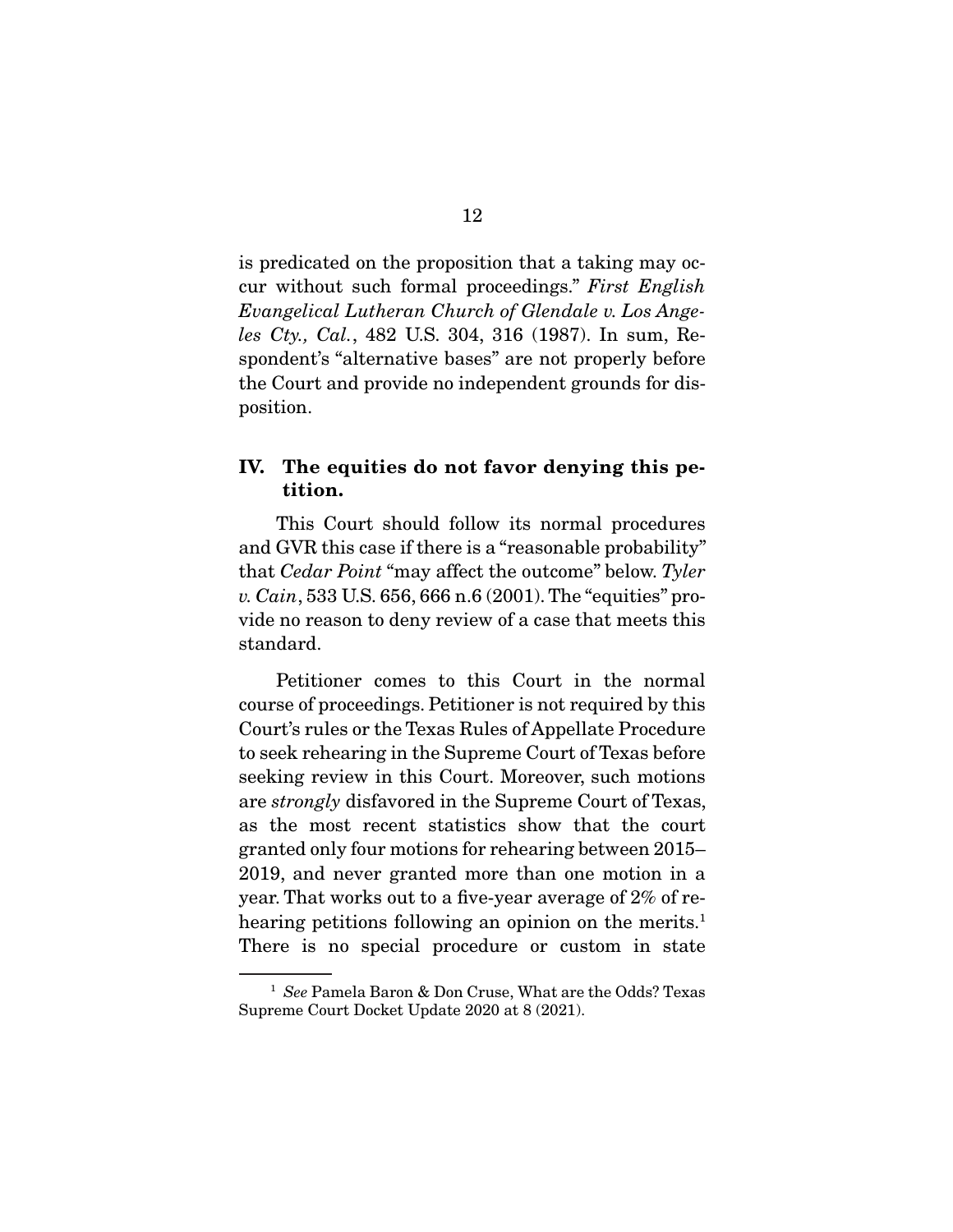is predicated on the proposition that a taking may occur without such formal proceedings." First English Evangelical Lutheran Church of Glendale v. Los Angeles Cty., Cal., 482 U.S. 304, 316 (1987). In sum, Respondent's "alternative bases" are not properly before the Court and provide no independent grounds for disposition.

## **IV. The equities do not favor denying this petition.**

 This Court should follow its normal procedures and GVR this case if there is a "reasonable probability" that Cedar Point "may affect the outcome" below. Tyler v. Cain, 533 U.S. 656, 666 n.6 (2001). The "equities" provide no reason to deny review of a case that meets this standard.

 Petitioner comes to this Court in the normal course of proceedings. Petitioner is not required by this Court's rules or the Texas Rules of Appellate Procedure to seek rehearing in the Supreme Court of Texas before seeking review in this Court. Moreover, such motions are strongly disfavored in the Supreme Court of Texas, as the most recent statistics show that the court granted only four motions for rehearing between 2015– 2019, and never granted more than one motion in a year. That works out to a five-year average of 2% of rehearing petitions following an opinion on the merits.<sup>1</sup> There is no special procedure or custom in state

<sup>&</sup>lt;sup>1</sup> See Pamela Baron & Don Cruse, What are the Odds? Texas Supreme Court Docket Update 2020 at 8 (2021).